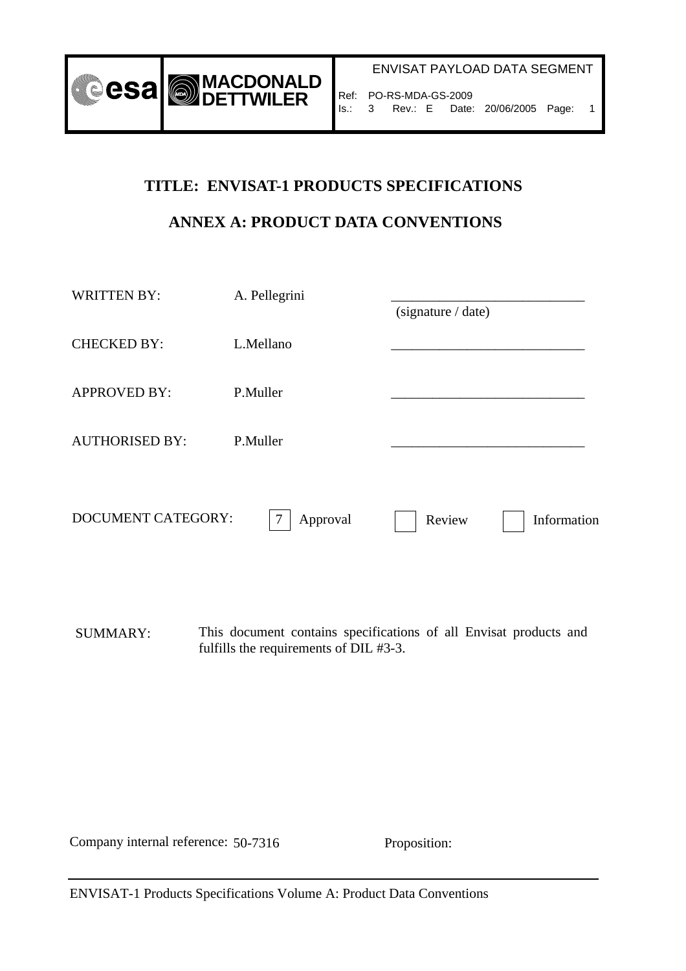

*MDA*

Ref: PO-RS-MDA-GS-2009 Is.: 3 Rev.: E Date: 20/06/2005 Page: 1

### **TITLE: ENVISAT-1 PRODUCTS SPECIFICATIONS**

## **ANNEX A: PRODUCT DATA CONVENTIONS**

| <b>WRITTEN BY:</b>        | A. Pellegrini |                    |             |
|---------------------------|---------------|--------------------|-------------|
|                           |               | (signature / date) |             |
| <b>CHECKED BY:</b>        | L.Mellano     |                    |             |
| <b>APPROVED BY:</b>       | P.Muller      |                    |             |
| <b>AUTHORISED BY:</b>     | P.Muller      |                    |             |
|                           |               |                    |             |
| <b>DOCUMENT CATEGORY:</b> | Approval      | Review             | Information |

SUMMARY: This document contains specifications of all Envisat products and fulfills the requirements of DIL #3-3.

Company internal reference: 50-7316 Proposition: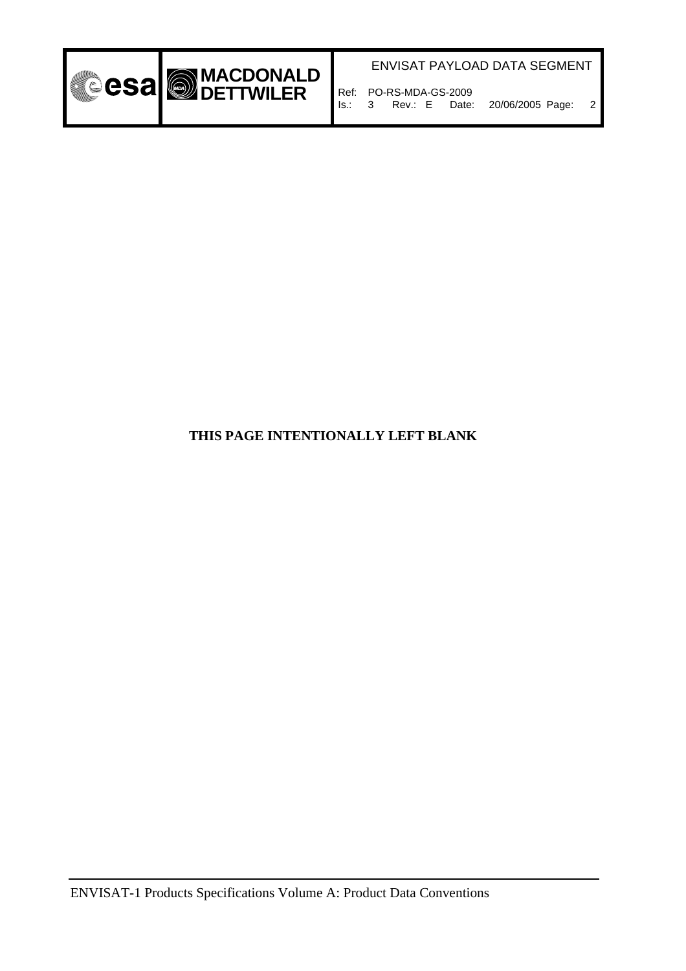

#### **THIS PAGE INTENTIONALLY LEFT BLANK**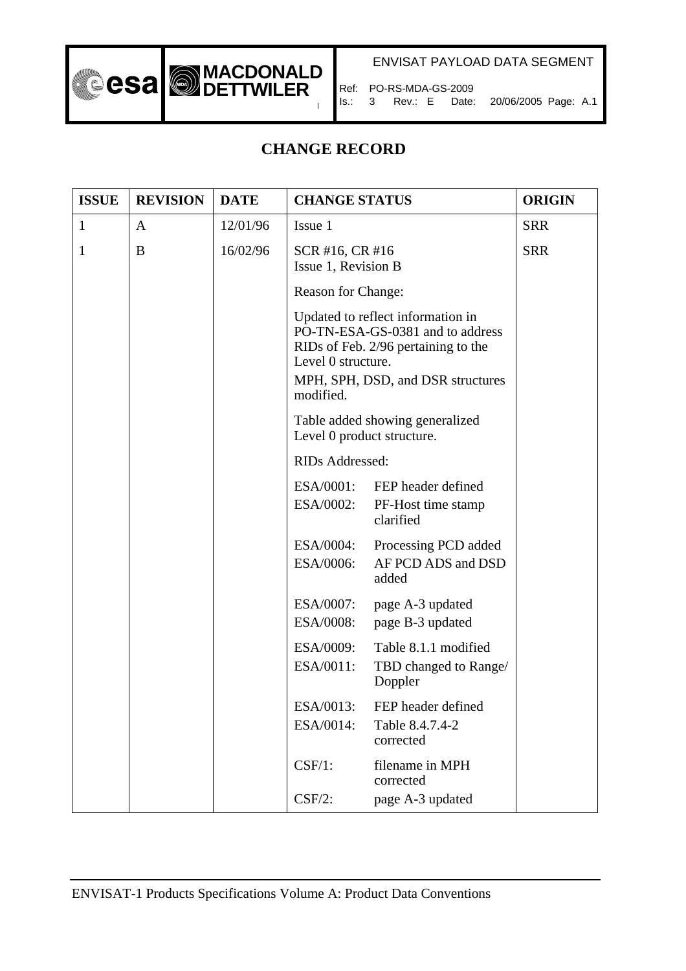



Ref: PO-RS-MDA-GS-2009 Is.: 3 Rev.: E Date: 20/06/2005 Page: A.1

# **CHANGE RECORD**

| <b>ISSUE</b> | <b>REVISION</b> | <b>DATE</b> | <b>CHANGE STATUS</b>                   |                                                                                                                                                                         | <b>ORIGIN</b> |  |
|--------------|-----------------|-------------|----------------------------------------|-------------------------------------------------------------------------------------------------------------------------------------------------------------------------|---------------|--|
| $\mathbf{1}$ | A               | 12/01/96    | Issue 1                                |                                                                                                                                                                         | <b>SRR</b>    |  |
| 1            | B               | 16/02/96    | SCR #16, CR #16<br>Issue 1, Revision B |                                                                                                                                                                         | <b>SRR</b>    |  |
|              |                 |             | Reason for Change:                     |                                                                                                                                                                         |               |  |
|              |                 |             | modified.                              | Updated to reflect information in<br>PO-TN-ESA-GS-0381 and to address<br>RIDs of Feb. 2/96 pertaining to the<br>Level 0 structure.<br>MPH, SPH, DSD, and DSR structures |               |  |
|              |                 |             | Level 0 product structure.             | Table added showing generalized                                                                                                                                         |               |  |
|              |                 |             | RIDs Addressed:                        |                                                                                                                                                                         |               |  |
|              |                 |             | ESA/0001:<br>ESA/0002:                 | FEP header defined<br>PF-Host time stamp<br>clarified                                                                                                                   |               |  |
|              |                 |             | ESA/0004:<br>ESA/0006:                 | Processing PCD added<br>AF PCD ADS and DSD<br>added                                                                                                                     |               |  |
|              |                 |             | ESA/0007:<br>ESA/0008:                 | page A-3 updated<br>page B-3 updated                                                                                                                                    |               |  |
|              |                 |             | ESA/0009:<br>ESA/0011:                 | Table 8.1.1 modified<br>TBD changed to Range/<br>Doppler                                                                                                                |               |  |
|              |                 |             | ESA/0013:<br>ESA/0014:                 | FEP header defined<br>Table 8.4.7.4-2<br>corrected                                                                                                                      |               |  |
|              |                 |             | $CSF/1$ :                              | filename in MPH<br>corrected                                                                                                                                            |               |  |
|              |                 |             | $CSF/2$ :                              | page A-3 updated                                                                                                                                                        |               |  |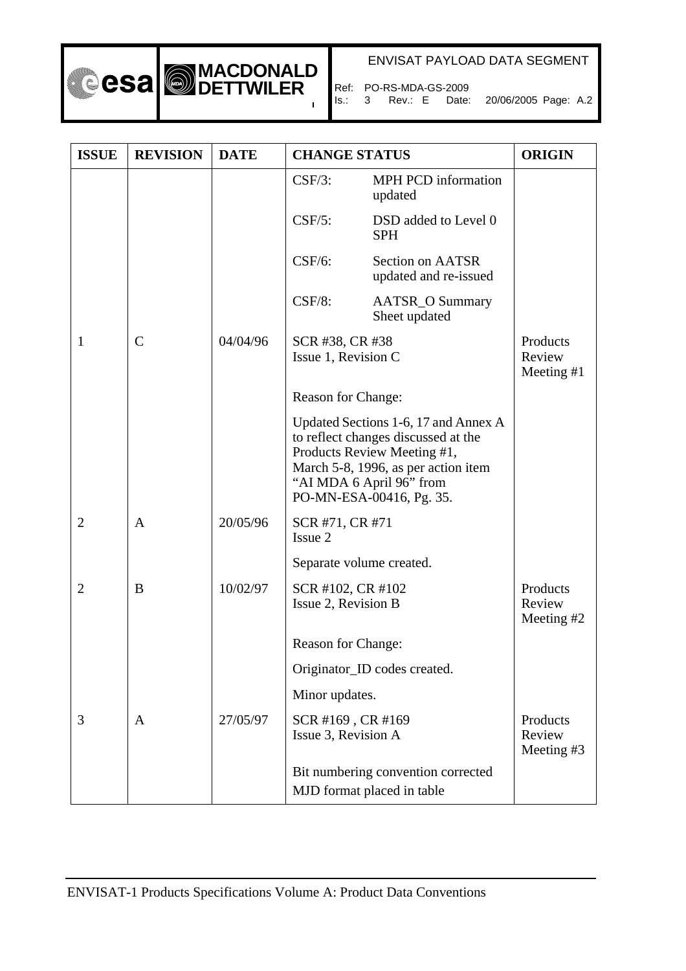

 $\mathbf{I}$ 

ENVISAT PAYLOAD DATA SEGMENT

Ref: PO-RS-MDA-GS-2009 Is.: 3 Rev.: E Date: 20/06/2005 Page: A.2

| <b>ISSUE</b>   | <b>REVISION</b> | <b>DATE</b> | <b>CHANGE STATUS</b>                     |                                                                                                                                                                                                           | <b>ORIGIN</b>                    |
|----------------|-----------------|-------------|------------------------------------------|-----------------------------------------------------------------------------------------------------------------------------------------------------------------------------------------------------------|----------------------------------|
|                |                 |             | $CSF/3$ :                                | MPH PCD information<br>updated                                                                                                                                                                            |                                  |
|                |                 |             | $CSF/5$ :                                | DSD added to Level 0<br><b>SPH</b>                                                                                                                                                                        |                                  |
|                |                 |             | $CSF/6$ :                                | Section on AATSR<br>updated and re-issued                                                                                                                                                                 |                                  |
|                |                 |             | $CSF/8$ :                                | <b>AATSR_O Summary</b><br>Sheet updated                                                                                                                                                                   |                                  |
| 1              | $\mathsf{C}$    | 04/04/96    | SCR #38, CR #38<br>Issue 1, Revision C   |                                                                                                                                                                                                           | Products<br>Review<br>Meeting #1 |
|                |                 |             | Reason for Change:                       |                                                                                                                                                                                                           |                                  |
|                |                 |             |                                          | Updated Sections 1-6, 17 and Annex A<br>to reflect changes discussed at the<br>Products Review Meeting #1,<br>March 5-8, 1996, as per action item<br>"AI MDA 6 April 96" from<br>PO-MN-ESA-00416, Pg. 35. |                                  |
| $\overline{2}$ | A               | 20/05/96    | SCR #71, CR #71<br>Issue 2               |                                                                                                                                                                                                           |                                  |
|                |                 |             | Separate volume created.                 |                                                                                                                                                                                                           |                                  |
| $\overline{2}$ | B               | 10/02/97    | SCR #102, CR #102<br>Issue 2, Revision B |                                                                                                                                                                                                           | Products<br>Review<br>Meeting #2 |
|                |                 |             | Reason for Change:                       |                                                                                                                                                                                                           |                                  |
|                |                 |             |                                          | Originator_ID codes created.                                                                                                                                                                              |                                  |
|                |                 |             | Minor updates.                           |                                                                                                                                                                                                           |                                  |
| 3              | A               | 27/05/97    | SCR #169, CR #169<br>Issue 3, Revision A |                                                                                                                                                                                                           | Products<br>Review<br>Meeting #3 |
|                |                 |             |                                          | Bit numbering convention corrected<br>MJD format placed in table                                                                                                                                          |                                  |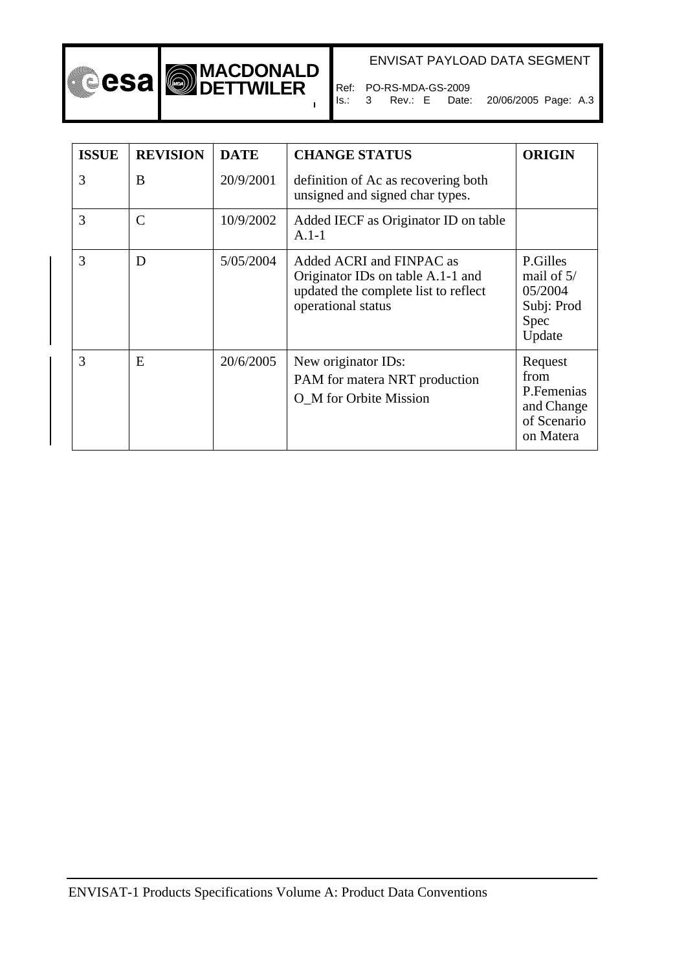



Ref: PO-RS-MDA-GS-2009 Is.: 3 Rev.: E Date: 20/06/2005 Page: A.3

| <b>ISSUE</b> | <b>REVISION</b> | <b>DATE</b> | <b>CHANGE STATUS</b>                                                                                                        | <b>ORIGIN</b>                                                            |
|--------------|-----------------|-------------|-----------------------------------------------------------------------------------------------------------------------------|--------------------------------------------------------------------------|
| 3            | B               | 20/9/2001   | definition of Ac as recovering both<br>unsigned and signed char types.                                                      |                                                                          |
| 3            | $\mathcal{C}$   | 10/9/2002   | Added IECF as Originator ID on table<br>$A.1-1$                                                                             |                                                                          |
| 3            | D               | 5/05/2004   | Added ACRI and FINPAC as<br>Originator IDs on table A.1-1 and<br>updated the complete list to reflect<br>operational status | P.Gilles<br>mail of $5/$<br>05/2004<br>Subj: Prod<br>Spec<br>Update      |
| 3            | E               | 20/6/2005   | New originator IDs:<br>PAM for matera NRT production<br>O_M for Orbite Mission                                              | Request<br>from<br>P. Femenias<br>and Change<br>of Scenario<br>on Matera |

 $\mathbf{I}$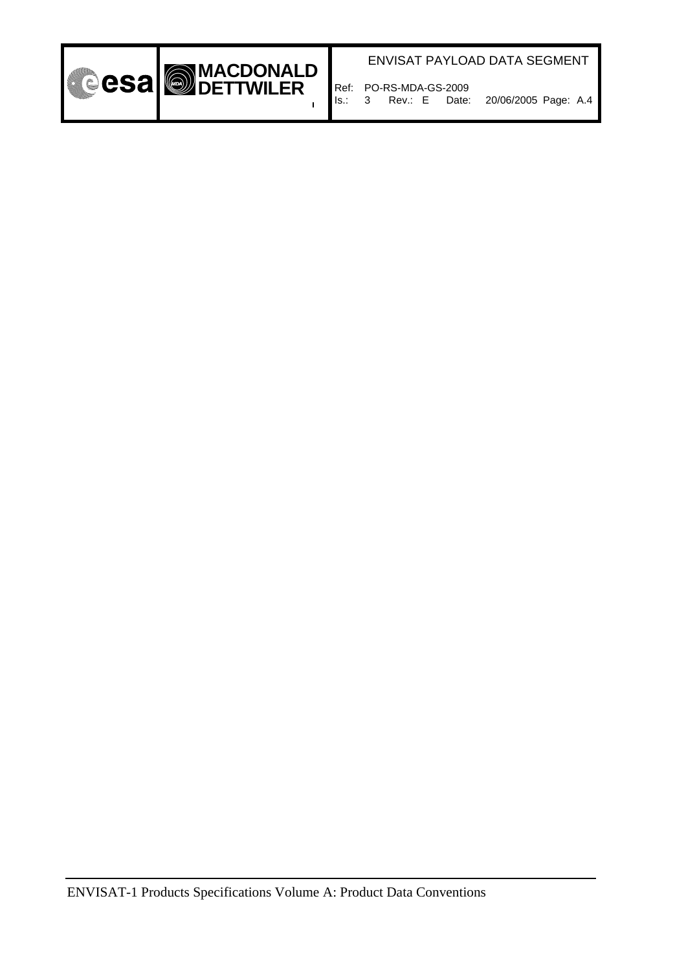

 $\mathbf{I}$ 

#### ENVISAT PAYLOAD DATA SEGMENT

Ref: PO-RS-MDA-GS-2009 Is.: 3 Rev.: E Date: 20/06/2005 Page: A.4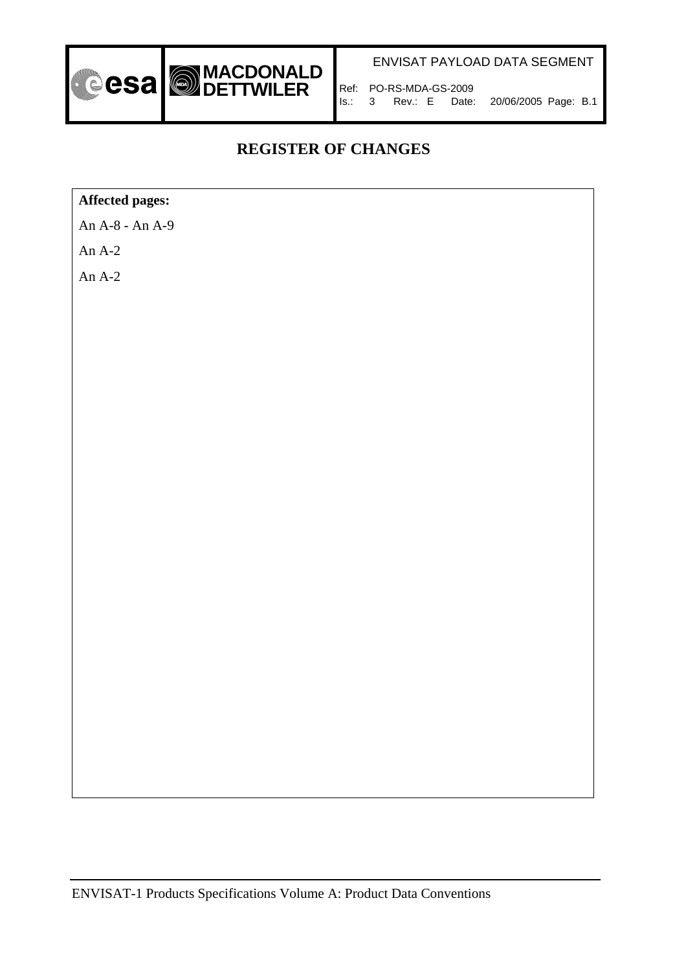



Ref: PO-RS-MDA-GS-2009 Is.: 3 Rev.: E Date: 20/06/2005 Page: B.1

## **REGISTER OF CHANGES**

**Affected pages:**

An A-8 - An A-9

An A-2

An A-2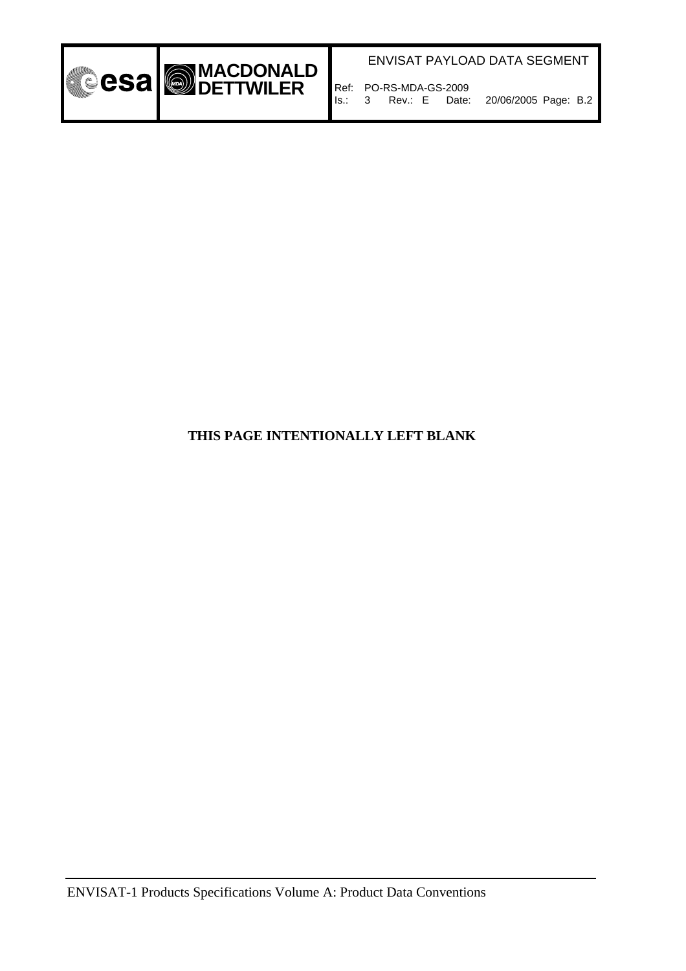

Ref: PO-RS-MDA-GS-2009 Is.: 3 Rev.: E Date: 20/06/2005 Page: B.2

#### **THIS PAGE INTENTIONALLY LEFT BLANK**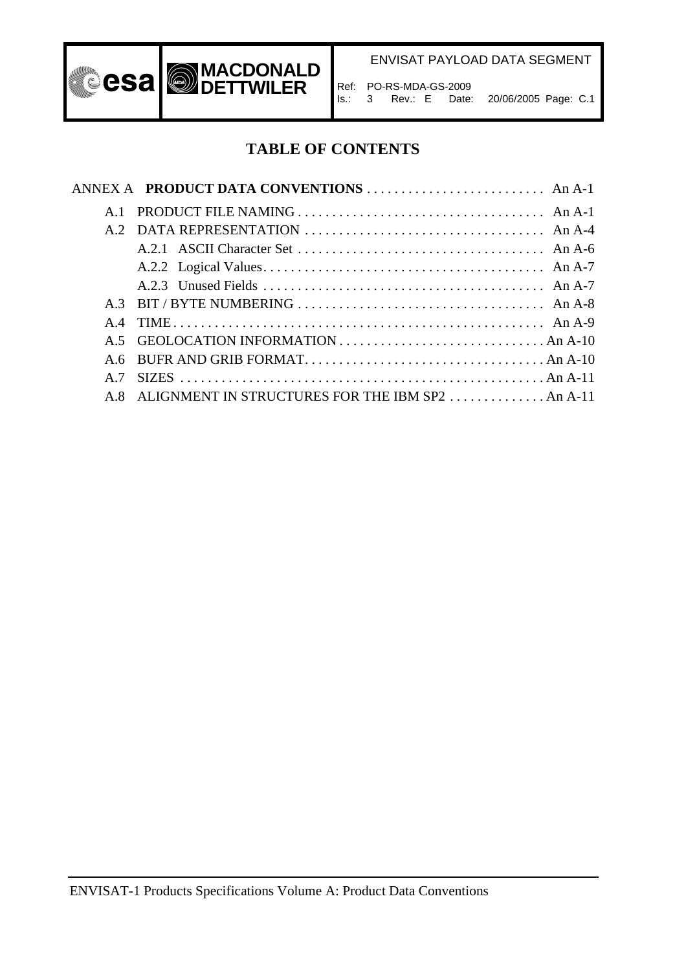

Ref: PO-RS-MDA-GS-2009<br>Is.: 3 Rev.: E Date: Is.: 3 Rev.: E Date: 20/06/2005 Page: C.1

## **TABLE OF CONTENTS**

| A.8 ALIGNMENT IN STRUCTURES FOR THE IBM SP2  An A-11 |  |
|------------------------------------------------------|--|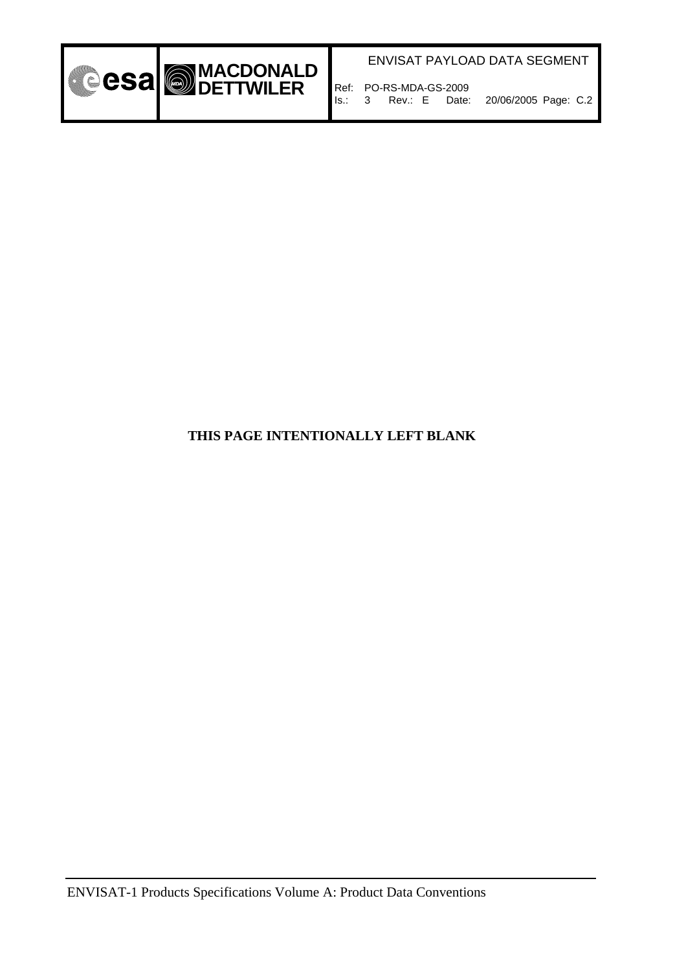

Ref: PO-RS-MDA-GS-2009 Is.: 3 Rev.: E Date: 20/06/2005 Page: C.2

#### **THIS PAGE INTENTIONALLY LEFT BLANK**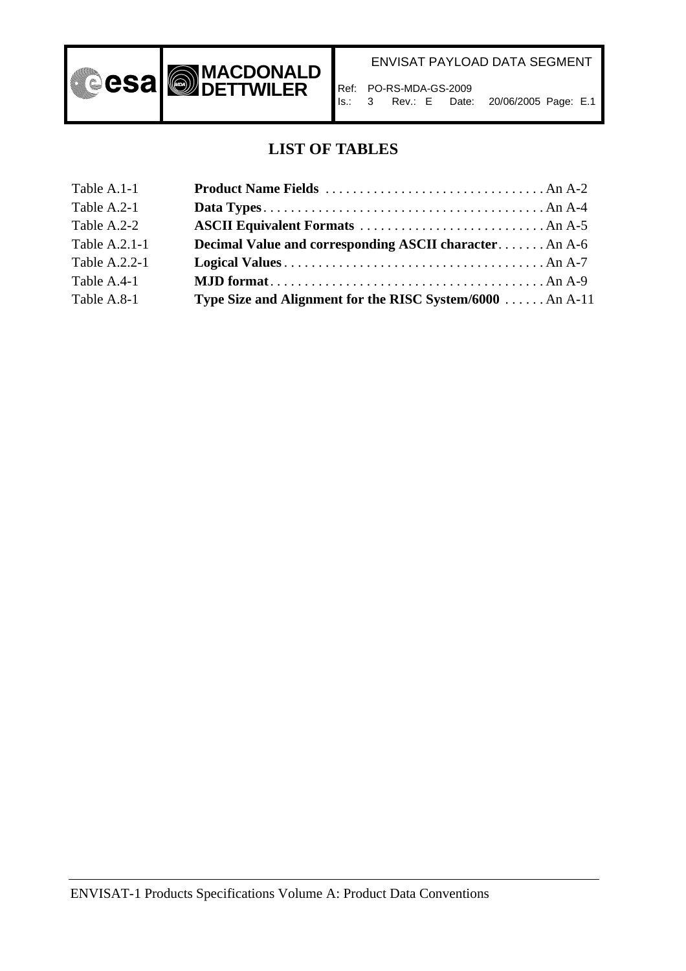



Ref: PO-RS-MDA-GS-2009 Is.: 3 Rev.: E Date: 20/06/2005 Page: E.1

# **LIST OF TABLES**

| Table A.1-1   |                                                           |
|---------------|-----------------------------------------------------------|
| Table A.2-1   |                                                           |
| Table A.2-2   |                                                           |
| Table A.2.1-1 | Decimal Value and corresponding ASCII characterAn A-6     |
| Table A.2.2-1 |                                                           |
| Table A.4-1   |                                                           |
| Table A.8-1   | Type Size and Alignment for the RISC System/6000  An A-11 |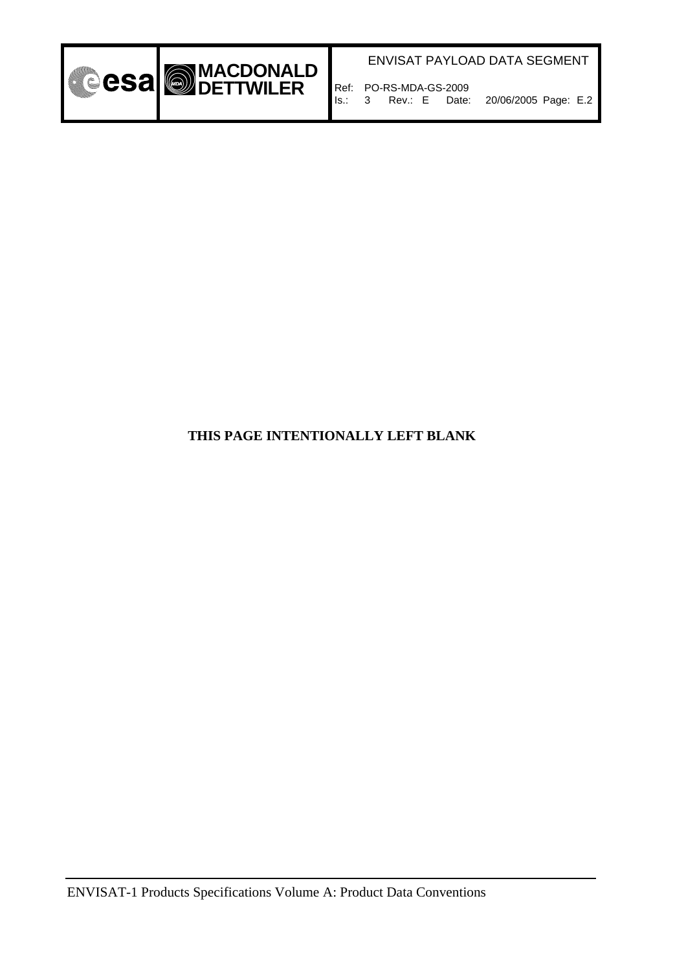

Ref: PO-RS-MDA-GS-2009 Is.: 3 Rev.: E Date: 20/06/2005 Page: E.2

#### **THIS PAGE INTENTIONALLY LEFT BLANK**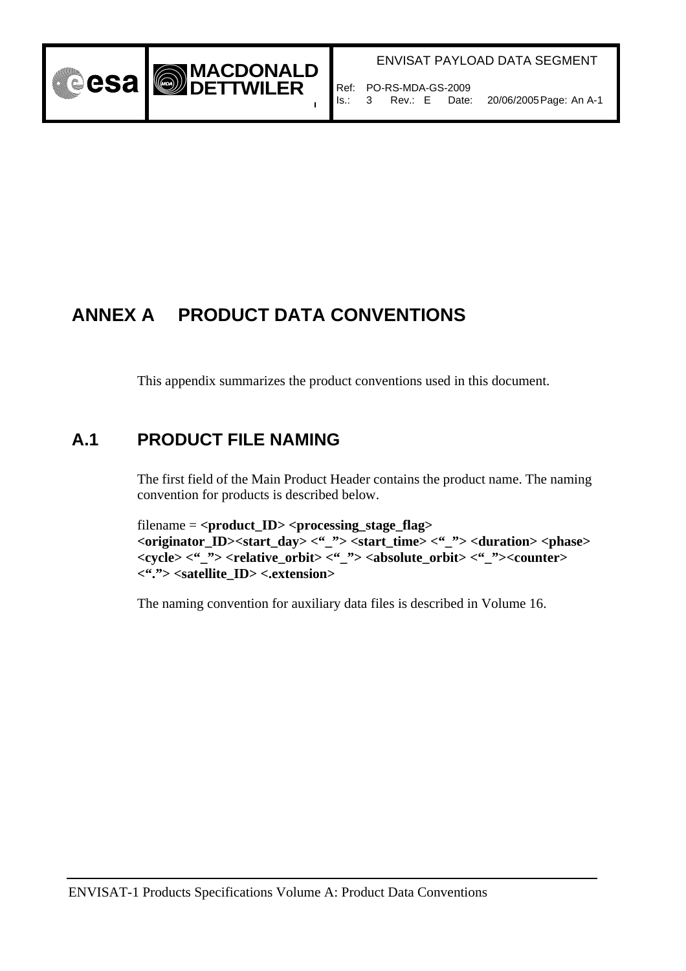

# **ANNEX A PRODUCT DATA CONVENTIONS**

This appendix summarizes the product conventions used in this document.

## **A.1 PRODUCT FILE NAMING**

The first field of the Main Product Header contains the product name. The naming convention for products is described below.

filename = **<product\_ID> <processing\_stage\_flag> <originator\_ID><start\_day> <"\_"> <start\_time> <"\_"> <duration> <phase> <cycle> <"\_"> <relative\_orbit> <"\_"> <absolute\_orbit> <"\_"><counter> <"."> <satellite\_ID> <.extension>**

The naming convention for auxiliary data files is described in Volume 16.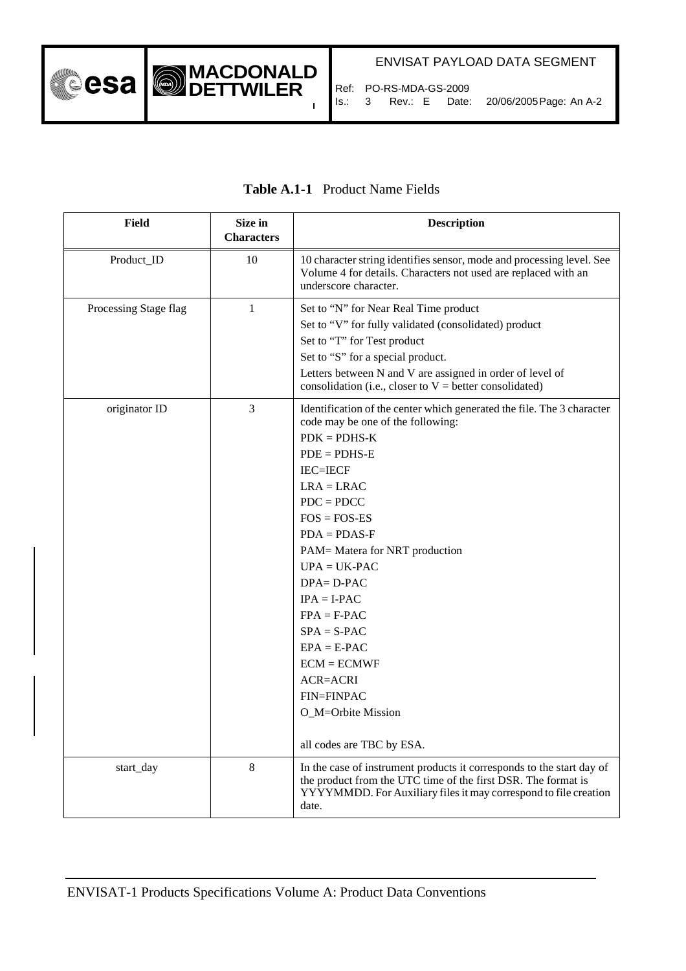

| <b>Field</b>          | Size in<br><b>Characters</b> | <b>Description</b>                                                                                                                                                                                                                                                                                                                                                                                                                                                                    |
|-----------------------|------------------------------|---------------------------------------------------------------------------------------------------------------------------------------------------------------------------------------------------------------------------------------------------------------------------------------------------------------------------------------------------------------------------------------------------------------------------------------------------------------------------------------|
| Product_ID            | 10                           | 10 character string identifies sensor, mode and processing level. See<br>Volume 4 for details. Characters not used are replaced with an<br>underscore character.                                                                                                                                                                                                                                                                                                                      |
| Processing Stage flag | $\mathbf{1}$                 | Set to "N" for Near Real Time product<br>Set to "V" for fully validated (consolidated) product<br>Set to "T" for Test product<br>Set to "S" for a special product.<br>Letters between N and V are assigned in order of level of<br>consolidation (i.e., closer to $V =$ better consolidated)                                                                                                                                                                                          |
| originator ID         | 3                            | Identification of the center which generated the file. The 3 character<br>code may be one of the following:<br>$PDK = PDHS-K$<br>$PDE = PDHS-E$<br><b>IEC=IECF</b><br>$LRA = LRAC$<br>$PDC = PDCC$<br>$FOS = FOS-ES$<br>$PDA = PDAS-F$<br>PAM= Matera for NRT production<br>$UPA = UK-PAC$<br>$DPA = D-PAC$<br>$IPA = I-PAC$<br>$FPA = F- PAC$<br>$SPA = S-PAC$<br>$EPA = E-PAC$<br>$ECM = ECMWF$<br><b>ACR=ACRI</b><br>FIN=FINPAC<br>O_M=Orbite Mission<br>all codes are TBC by ESA. |
| start_day             | 8                            | In the case of instrument products it corresponds to the start day of<br>the product from the UTC time of the first DSR. The format is<br>YYYYMMDD. For Auxiliary files it may correspond to file creation<br>date.                                                                                                                                                                                                                                                                   |

#### **Table A.1-1** Product Name Fields

 $\overline{1}$ 

**MACDONALD DETTWILER**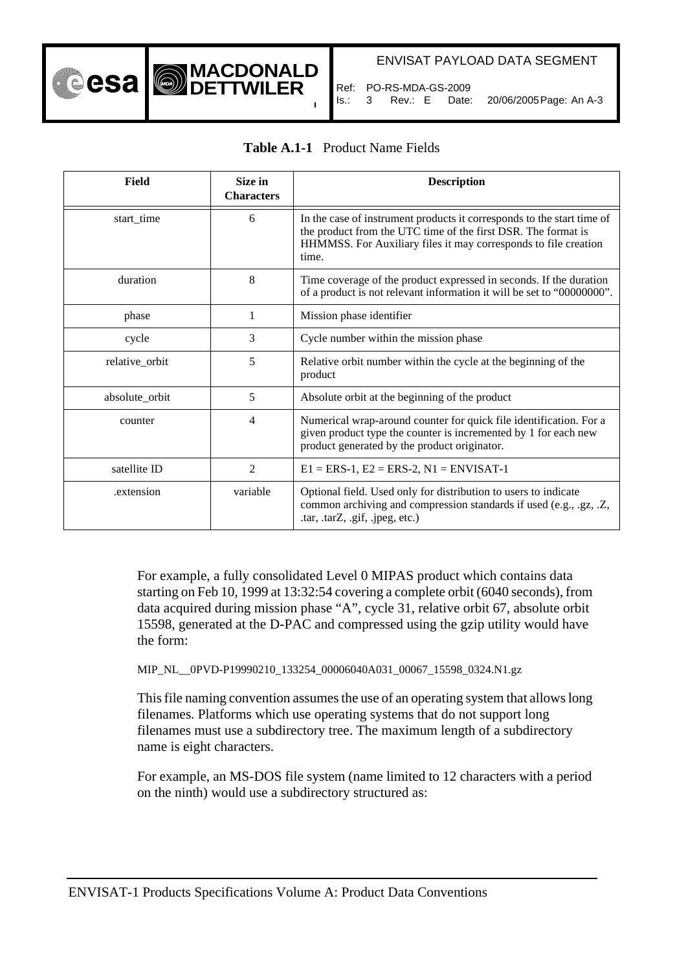

|  | <b>Table A.1-1</b> Product Name Fields |
|--|----------------------------------------|
|--|----------------------------------------|

| Field          | Size in<br><b>Characters</b> | <b>Description</b>                                                                                                                                                                                                  |  |
|----------------|------------------------------|---------------------------------------------------------------------------------------------------------------------------------------------------------------------------------------------------------------------|--|
| start_time     | 6                            | In the case of instrument products it corresponds to the start time of<br>the product from the UTC time of the first DSR. The format is<br>HHMMSS. For Auxiliary files it may corresponds to file creation<br>time. |  |
| duration       | 8                            | Time coverage of the product expressed in seconds. If the duration<br>of a product is not relevant information it will be set to "00000000".                                                                        |  |
| phase          | 1                            | Mission phase identifier                                                                                                                                                                                            |  |
| cycle          | 3                            | Cycle number within the mission phase                                                                                                                                                                               |  |
| relative_orbit | 5                            | Relative orbit number within the cycle at the beginning of the<br>product                                                                                                                                           |  |
| absolute_orbit | 5                            | Absolute orbit at the beginning of the product                                                                                                                                                                      |  |
| counter        | $\overline{4}$               | Numerical wrap-around counter for quick file identification. For a<br>given product type the counter is incremented by 1 for each new<br>product generated by the product originator.                               |  |
| satellite ID   | $\overline{2}$               | $E1 = ERS-1$ , $E2 = ERS-2$ , $N1 = ENVISAT-1$                                                                                                                                                                      |  |
| .extension     | variable                     | Optional field. Used only for distribution to users to indicate<br>common archiving and compression standards if used (e.g., .gz, .Z,<br>.tar, .tarZ, .gif, .jpeg, etc.)                                            |  |

For example, a fully consolidated Level 0 MIPAS product which contains data starting on Feb 10, 1999 at 13:32:54 covering a complete orbit (6040 seconds), from data acquired during mission phase "A", cycle 31, relative orbit 67, absolute orbit 15598, generated at the D-PAC and compressed using the gzip utility would have the form:

MIP\_NL\_\_0PVD-P19990210\_133254\_00006040A031\_00067\_15598\_0324.N1.gz

This file naming convention assumes the use of an operating system that allows long filenames. Platforms which use operating systems that do not support long filenames must use a subdirectory tree. The maximum length of a subdirectory name is eight characters.

For example, an MS-DOS file system (name limited to 12 characters with a period on the ninth) would use a subdirectory structured as: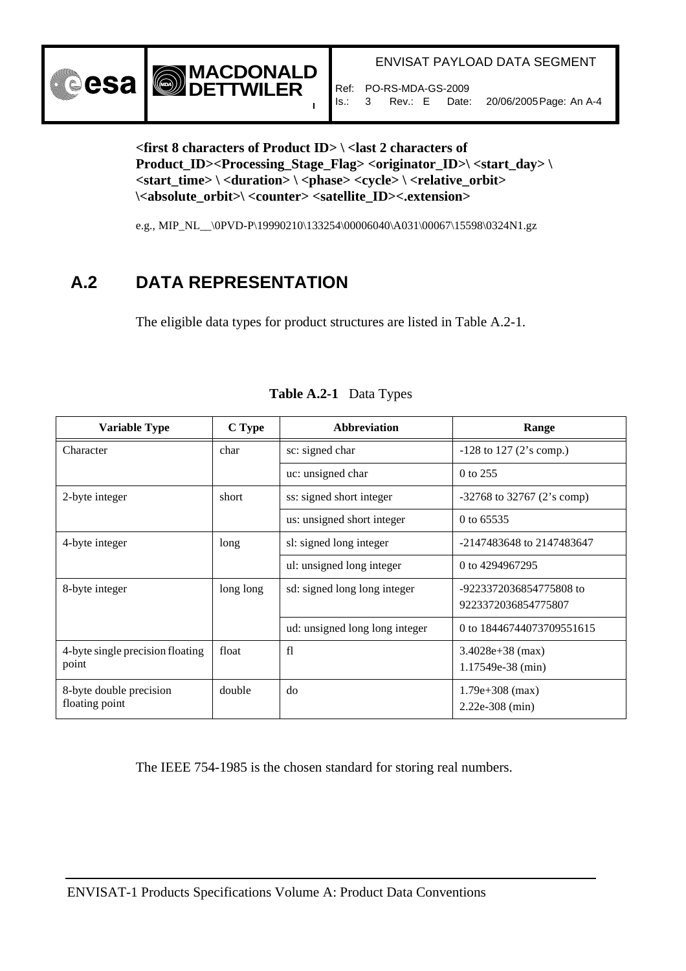

*MDA*

Ref: PO-RS-MDA-GS-2009 Is.: 3 Rev.: E Date: 20/06/2005Page: An A-4

**<first 8 characters of Product ID> \ <last 2 characters of Product\_ID><Processing\_Stage\_Flag> <originator\_ID>\ <start\_day> \ <start\_time> \ <duration> \ <phase> <cycle> \ <relative\_orbit> \<absolute\_orbit>\ <counter> <satellite\_ID><.extension>**

e.g., MIP\_NL\_\0PVD-P\19990210\133254\00006040\A031\00067\15598\0324N1.gz

## **A.2 DATA REPRESENTATION**

The eligible data types for product structures are listed in Table A.2-1.

| <b>Variable Type</b>                      | C Type    | <b>Abbreviation</b>            | Range                                          |
|-------------------------------------------|-----------|--------------------------------|------------------------------------------------|
| Character                                 | char      | sc: signed char                | $-128$ to 127 (2's comp.)                      |
|                                           |           | uc: unsigned char              | $0$ to 255                                     |
| 2-byte integer                            | short     | ss: signed short integer       | $-32768$ to 32767 (2's comp)                   |
|                                           |           | us: unsigned short integer     | 0 to 65535                                     |
| 4-byte integer                            | long      | sl: signed long integer        | -2147483648 to 2147483647                      |
|                                           |           | ul: unsigned long integer      | 0 to 4294967295                                |
| 8-byte integer                            | long long | sd: signed long long integer   | -9223372036854775808 to<br>9223372036854775807 |
|                                           |           | ud: unsigned long long integer | 0 to 18446744073709551615                      |
| 4-byte single precision floating<br>point | float     | f1                             | $3.4028e+38$ (max)<br>1.17549e-38 (min)        |
| 8-byte double precision<br>floating point | double    | do                             | $1.79e+308$ (max)<br>$2.22e-308$ (min)         |

#### **Table A.2-1** Data Types

The IEEE 754-1985 is the chosen standard for storing real numbers.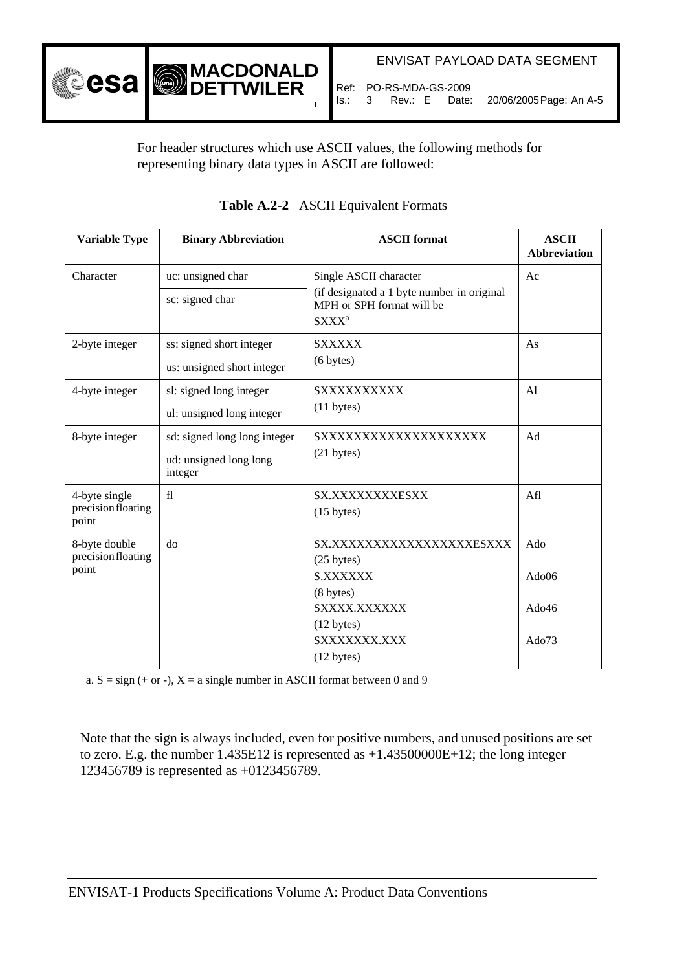

For header structures which use ASCII values, the following methods for representing binary data types in ASCII are followed:

 $\blacksquare$ 

| <b>Variable Type</b>                         | <b>Binary Abbreviation</b>        | <b>ASCII</b> format                                                                          | <b>ASCII</b><br><b>Abbreviation</b> |
|----------------------------------------------|-----------------------------------|----------------------------------------------------------------------------------------------|-------------------------------------|
| Character                                    | uc: unsigned char                 | Single ASCII character                                                                       | Ac                                  |
|                                              | sc: signed char                   | (if designated a 1 byte number in original<br>MPH or SPH format will be<br>SXXX <sup>a</sup> |                                     |
| 2-byte integer                               | ss: signed short integer          | <b>SXXXXX</b>                                                                                | As                                  |
|                                              | us: unsigned short integer        | (6 bytes)                                                                                    |                                     |
| 4-byte integer                               | sl: signed long integer           | SXXXXXXXXXX                                                                                  | A <sub>1</sub>                      |
|                                              | ul: unsigned long integer         | (11 bytes)                                                                                   |                                     |
| 8-byte integer                               | sd: signed long long integer      | SXXXXXXXXXXXXXXXXXXX                                                                         | Ad                                  |
|                                              | ud: unsigned long long<br>integer | (21 bytes)                                                                                   |                                     |
| 4-byte single<br>precision floating<br>point | f1                                | SX.XXXXXXXXESXX<br>$(15 \text{ bytes})$                                                      | Afl                                 |
| 8-byte double                                | d <sub>o</sub>                    | SX.XXXXXXXXXXXXXXXXXESXXX                                                                    | Ado                                 |
| precision floating<br>point                  |                                   | (25 bytes)                                                                                   |                                     |
|                                              |                                   | <b>S.XXXXXX</b>                                                                              | Ado06                               |
|                                              |                                   | (8 bytes)<br>SXXXX.XXXXXX                                                                    | Ado46                               |
|                                              |                                   | (12 bytes)                                                                                   |                                     |
|                                              |                                   | SXXXXXXX.XXX                                                                                 | Ado73                               |
|                                              |                                   | (12 bytes)                                                                                   |                                     |

**Table A.2-2** ASCII Equivalent Formats

a.  $S = sign (+ or -)$ ,  $X = a single number in ASCII format between 0 and 9$ 

Note that the sign is always included, even for positive numbers, and unused positions are set to zero. E.g. the number  $1.435E12$  is represented as  $+1.43500000E+12$ ; the long integer 123456789 is represented as +0123456789.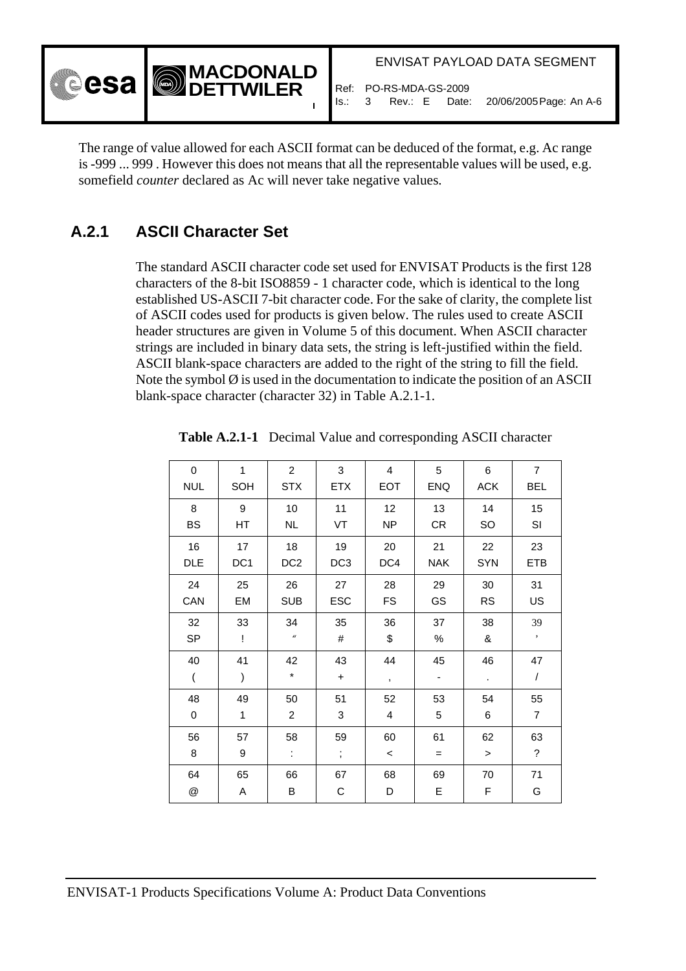

The range of value allowed for each ASCII format can be deduced of the format, e.g. Ac range is -999 ... 999 . However this does not means that all the representable values will be used, e.g. somefield *counter* declared as Ac will never take negative values.

### **A.2.1 ASCII Character Set**

*MDA*

**MACDONALD DETTWILER**

The standard ASCII character code set used for ENVISAT Products is the first 128 characters of the 8-bit ISO8859 - 1 character code, which is identical to the long established US-ASCII 7-bit character code. For the sake of clarity, the complete list of ASCII codes used for products is given below. The rules used to create ASCII header structures are given in Volume 5 of this document. When ASCII character strings are included in binary data sets, the string is left-justified within the field. ASCII blank-space characters are added to the right of the string to fill the field. Note the symbol  $\emptyset$  is used in the documentation to indicate the position of an ASCII blank-space character (character 32) in Table A.2.1-1.

| 0                         | $\mathbf{1}$           | $\overline{2}$     | 3                    | $\overline{4}$ | 5          | 6          | $\overline{7}$ |
|---------------------------|------------------------|--------------------|----------------------|----------------|------------|------------|----------------|
| <b>NUL</b>                | SOH                    | <b>STX</b>         | <b>ETX</b>           | <b>EOT</b>     | <b>ENQ</b> | <b>ACK</b> | <b>BEL</b>     |
| 8                         | 9                      | 10 <sup>1</sup>    | 11                   | 12             | 13         | 14         | 15             |
| <b>BS</b>                 | HT                     | <b>NL</b>          | VT                   | <b>NP</b>      | CR         | SO         | SI             |
| 16                        | 17                     | 18                 | 19                   | 20             | 21         | 22         | 23             |
| <b>DLE</b>                | DC <sub>1</sub>        | DC <sub>2</sub>    | DC <sub>3</sub>      | DC4            | <b>NAK</b> | SYN        | <b>ETB</b>     |
| 24                        | 25                     | 26                 | 27                   | 28             | 29         | 30         | 31             |
| CAN                       | EM                     | <b>SUB</b>         | <b>ESC</b>           | <b>FS</b>      | GS         | <b>RS</b>  | US             |
| 32                        | 33                     | 34                 | 35                   | 36             | 37         | 38         | 39             |
| <b>SP</b>                 | Ţ                      | $\boldsymbol{\mu}$ | #                    | \$             | %          | &          | $^\circ$       |
| 40                        | 41                     | 42                 | 43                   | 44             | 45         | 46         | 47             |
| $\overline{(\ }$          | $\mathcal{C}^{\prime}$ | $\star$            | $+$                  | $\,$           | ٠          | $\epsilon$ | $\overline{1}$ |
| 48                        | 49                     | 50                 | 51                   | 52             | 53         | 54         | 55             |
| 0                         | $\mathbf{1}$           | $\overline{2}$     | 3                    | 4              | 5          | 6          | $\overline{7}$ |
| 56                        | 57                     | 58                 | 59                   | 60             | 61         | 62         | 63             |
| 8                         | 9                      | ÷.                 | $\ddot{\phantom{a}}$ | $\,<\,$        | $=$        | $\, >$     | $\tilde{?}$    |
| 64                        | 65                     | 66                 | 67                   | 68             | 69         | 70         | 71             |
| $^\text{\textregistered}$ | Α                      | Β                  | C                    | D              | E          | F          | G              |

**Table A.2.1-1** Decimal Value and corresponding ASCII character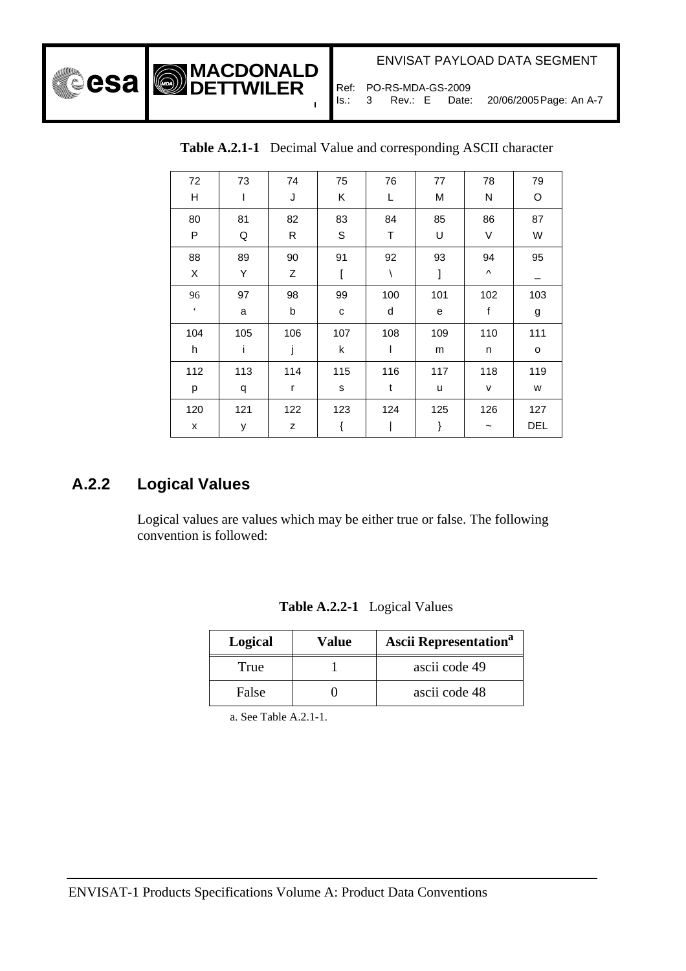

| 72                       | 73  | 74  | 75            | 76           | 77  | 78                    | 79  |
|--------------------------|-----|-----|---------------|--------------|-----|-----------------------|-----|
| H                        | L   | J   | Κ             | L            | М   | ${\sf N}$             | O   |
| 80                       | 81  | 82  | 83            | 84           | 85  | 86                    | 87  |
| ${\sf P}$                | Q   | R   | S             | T            | U   | V                     | W   |
| 88                       | 89  | 90  | 91            | 92           | 93  | 94                    | 95  |
| X                        | Υ   | Ζ   | $\mathfrak l$ | ∖            | I   | $\boldsymbol{\wedge}$ |     |
| 96                       | 97  | 98  | 99            | 100          | 101 | 102                   | 103 |
| $\boldsymbol{\varsigma}$ | a   | b   | с             | d            | e   | $\mathsf f$           | g   |
| 104                      | 105 | 106 | 107           | 108          | 109 | 110                   | 111 |
| h                        | i.  | j   | $\sf k$       | $\mathbf{I}$ | m   | n                     | o   |
| 112                      | 113 | 114 | 115           | 116          | 117 | 118                   | 119 |
| р                        | q   | r   | s             | t            | u   | v                     | W   |
| 120                      | 121 | 122 | 123           | 124          | 125 | 126                   | 127 |
| x                        | у   | z   | {             |              | }   | $\tilde{\phantom{a}}$ | DEL |

**Table A.2.1-1** Decimal Value and corresponding ASCII character

 $\mathbf{I}$ 

**MACDONALD DETTWILER**

### **A.2.2 Logical Values**

Logical values are values which may be either true or false. The following convention is followed:

| Logical | Value | <b>Ascii Representation</b> <sup>a</sup> |
|---------|-------|------------------------------------------|
| True    |       | ascii code 49                            |
| False   |       | ascii code 48                            |

**Table A.2.2-1** Logical Values

a. See Table A.2.1-1.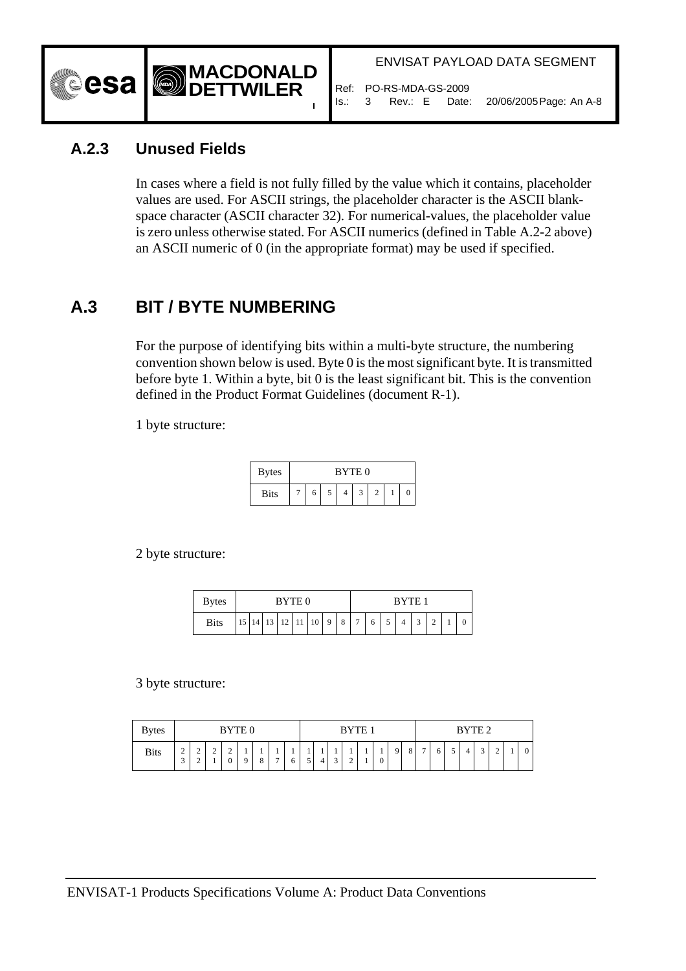



Ref: PO-RS-MDA-GS-2009 Is.: 3 Rev.: E Date: 20/06/2005Page: An A-8

### **A.2.3 Unused Fields**

In cases where a field is not fully filled by the value which it contains, placeholder values are used. For ASCII strings, the placeholder character is the ASCII blankspace character (ASCII character 32). For numerical-values, the placeholder value is zero unless otherwise stated. For ASCII numerics (defined in Table A.2-2 above) an ASCII numeric of 0 (in the appropriate format) may be used if specified.

## **A.3 BIT / BYTE NUMBERING**

For the purpose of identifying bits within a multi-byte structure, the numbering convention shown below is used. Byte 0 is the most significant byte. It is transmitted before byte 1. Within a byte, bit 0 is the least significant bit. This is the convention defined in the Product Format Guidelines (document R-1).

1 byte structure:

| <b>Bytes</b> |   |  | BYTE 0 |  |  |
|--------------|---|--|--------|--|--|
| <b>Bits</b>  | 6 |  |        |  |  |

2 byte structure:

| <b>Bytes</b> |    | $T$ $T$ $F$ .<br>BY' |          |                      |    |    |          | <b>RVTE</b>  |                |        |        |  |             |        |  |   |
|--------------|----|----------------------|----------|----------------------|----|----|----------|--------------|----------------|--------|--------|--|-------------|--------|--|---|
| <b>Bits</b>  | 15 | 14                   | 12<br>19 | 12<br>$\overline{1}$ | 11 | 10 | $\Omega$ | $\circ$<br>ŏ | $\overline{ }$ | ۰<br>6 | -<br>◡ |  | $\sim$<br>↩ | ◠<br>∸ |  | υ |

3 byte structure:

| <b>Bytes</b> | BYTE <sub>0</sub> |                       |             |             | <b>BYTE</b> |              |                          |   |   |  | RVTF |             |  |        |          |                    |                |   |   |  |             |   |  |   |
|--------------|-------------------|-----------------------|-------------|-------------|-------------|--------------|--------------------------|---|---|--|------|-------------|--|--------|----------|--------------------|----------------|---|---|--|-------------|---|--|---|
| <b>Bits</b>  | ⌒<br>∼<br>∽<br>◡  | $\sim$<br>∼<br>⌒<br>∼ | $\sim$<br>∼ | c<br>∼<br>v |             | $\circ$<br>Ō | $\overline{\phantom{0}}$ | O | - |  |      | $\sim$<br>∸ |  | Λ<br>◡ | $\Omega$ | $\circ$<br>$\cdot$ | $\overline{ }$ | U | ◡ |  | $\sim$<br>◡ | ∼ |  | v |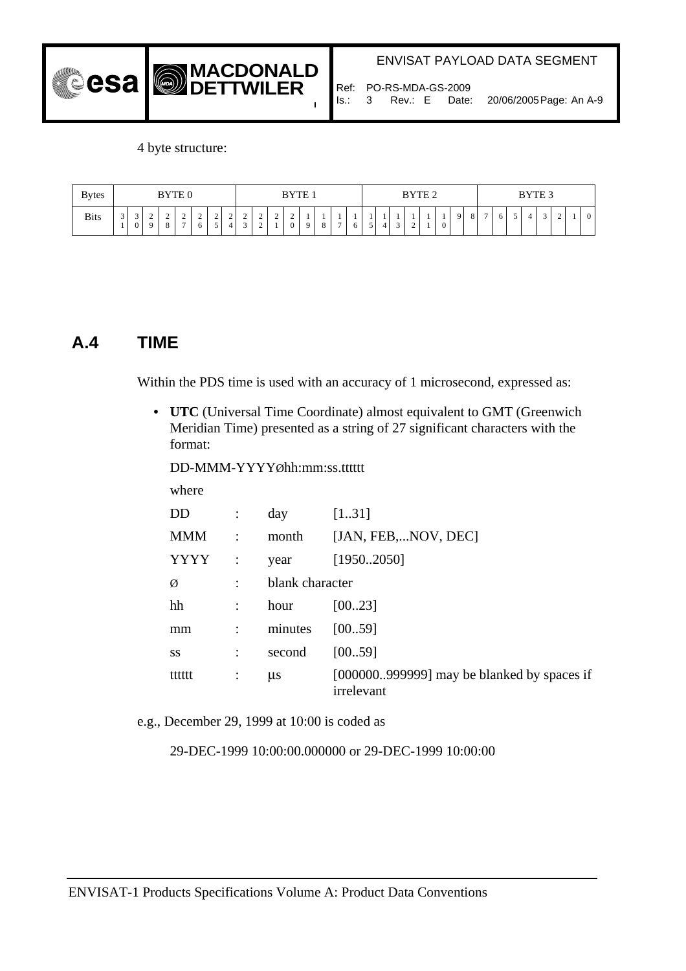

4 byte structure:

**MACDONALD DETTWILER**

| <b>Bytes</b> | BYTE <sub>0</sub> |                               |                         |                         |                     | <b>BYTE</b>      |                                         |                                         |                            |                  | <b>BYTE</b> |                      |          |              |        | BYTE <sub>3</sub> |                                                 |   |            |                    |  |   |    |   |        |   |   |  |            |             |  |   |
|--------------|-------------------|-------------------------------|-------------------------|-------------------------|---------------------|------------------|-----------------------------------------|-----------------------------------------|----------------------------|------------------|-------------|----------------------|----------|--------------|--------|-------------------|-------------------------------------------------|---|------------|--------------------|--|---|----|---|--------|---|---|--|------------|-------------|--|---|
| <b>Bits</b>  |                   | $\sim$<br>◡<br>$\overline{0}$ | $\sim$<br>∼<br>$\Omega$ | $\sim$<br>∼<br>$\Omega$ | ∼<br>$\overline{ }$ | $\sim$<br>∠<br>6 | $\sim$<br>$\overline{\phantom{a}}$<br>٠ | $\sim$<br>$\overline{\phantom{a}}$<br>4 | $\sim$<br>~<br>$\sim$<br>v | $\sim$<br>∸<br>∸ | $\sim$<br>- | ∸<br>$\sqrt{2}$<br>v | $\Omega$ | $\circ$<br>ŏ | $\sim$ | 6                 | $\overline{ }$<br>$\overline{\phantom{0}}$<br>◡ | 4 | $\sim$<br> | $\sim$<br><u>_</u> |  | v | ΩI | 8 | $\sim$ | 6 | ◡ |  | $\sim$<br> | $\sim$<br>∼ |  | v |

 $\blacksquare$ 

### **A.4 TIME**

Within the PDS time is used with an accuracy of 1 microsecond, expressed as:

**• UTC** (Universal Time Coordinate) almost equivalent to GMT (Greenwich Meridian Time) presented as a string of 27 significant characters with the format:

DD-MMM-YYYYØhh:mm:ss.tttttt

| where       |                      |                 |                                                               |
|-------------|----------------------|-----------------|---------------------------------------------------------------|
| DD          | $\ddot{\cdot}$       | day             | [131]                                                         |
| <b>MMM</b>  | $\ddot{\cdot}$       | month           | [JAN, FEB,NOV, DEC]                                           |
| <b>YYYY</b> | $\ddot{\cdot}$       | year            | [19502050]                                                    |
| Ø           | $\ddot{\phantom{a}}$ | blank character |                                                               |
| hh          | $\ddot{\cdot}$       | hour            | [0023]                                                        |
| mm          |                      | minutes         | [0059]                                                        |
| <b>SS</b>   | $\ddot{\cdot}$       | second          | [0059]                                                        |
| tttttt      | $\ddot{\cdot}$       | $\mu$ s         | $[000000000999999]$ may be blanked by spaces if<br>irrelevant |

e.g., December 29, 1999 at 10:00 is coded as

29-DEC-1999 10:00:00.000000 or 29-DEC-1999 10:00:00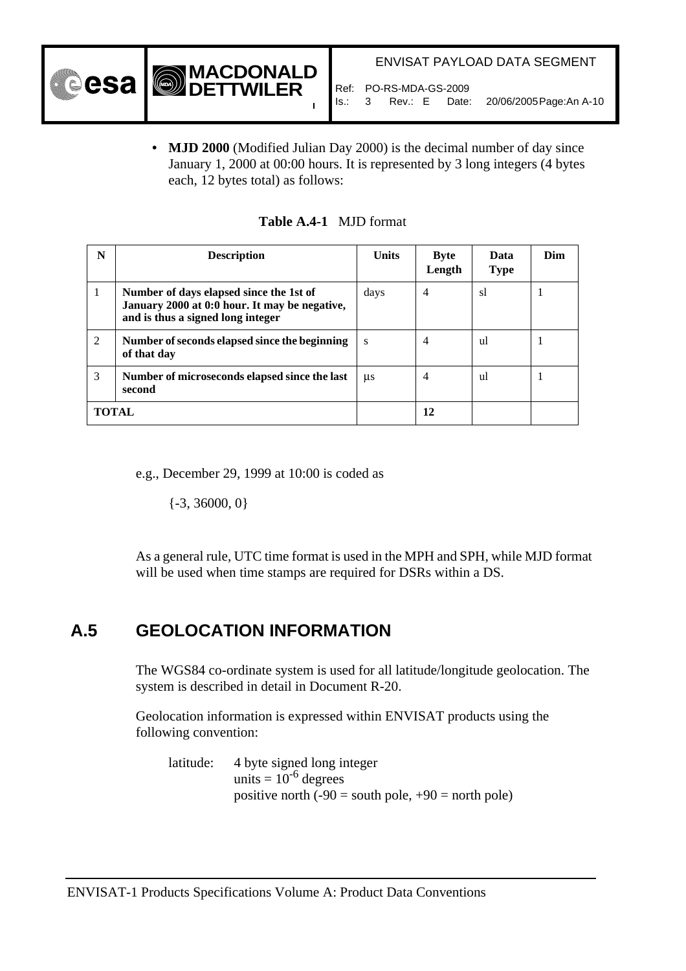

**• MJD 2000** (Modified Julian Day 2000) is the decimal number of day since January 1, 2000 at 00:00 hours. It is represented by 3 long integers (4 bytes each, 12 bytes total) as follows:

| N             | <b>Description</b>                                                                                                            | <b>Units</b> | <b>Byte</b><br>Length | Data<br><b>Type</b> | Dim |
|---------------|-------------------------------------------------------------------------------------------------------------------------------|--------------|-----------------------|---------------------|-----|
| 1             | Number of days elapsed since the 1st of<br>January 2000 at 0:0 hour. It may be negative,<br>and is thus a signed long integer | days         | 4                     | sl                  |     |
| 2             | Number of seconds elapsed since the beginning<br>of that day                                                                  | s            | 4                     | ul                  |     |
| $\mathcal{F}$ | Number of microseconds elapsed since the last<br>second                                                                       | $\mu$ s      | 4                     | ul                  |     |
| TOTAL         |                                                                                                                               |              | 12                    |                     |     |

**Table A.4-1** MJD format

e.g., December 29, 1999 at 10:00 is coded as

 $\{-3, 36000, 0\}$ 

As a general rule, UTC time format is used in the MPH and SPH, while MJD format will be used when time stamps are required for DSRs within a DS.

# **A.5 GEOLOCATION INFORMATION**

The WGS84 co-ordinate system is used for all latitude/longitude geolocation. The system is described in detail in Document R-20.

Geolocation information is expressed within ENVISAT products using the following convention:

latitude: 4 byte signed long integer units  $= 10^{-6}$  degrees positive north  $(-90)$  = south pole,  $+90$  = north pole)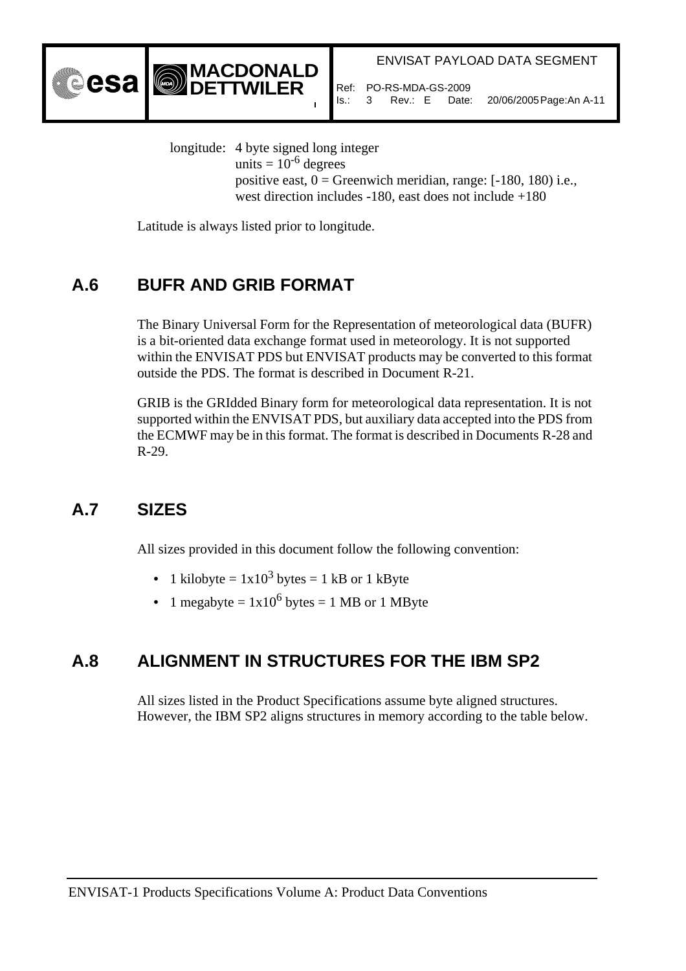

*MDA*



Ref: PO-RS-MDA-GS-2009 Is.: 3 Rev.: E Date: 20/06/2005Page:An A-11

longitude: 4 byte signed long integer units  $= 10^{-6}$  degrees positive east,  $0 =$  Greenwich meridian, range:  $[-180, 180)$  i.e., west direction includes -180, east does not include +180

Latitude is always listed prior to longitude.

**MACDONALD DETTWILER**

## **A.6 BUFR AND GRIB FORMAT**

The Binary Universal Form for the Representation of meteorological data (BUFR) is a bit-oriented data exchange format used in meteorology. It is not supported within the ENVISAT PDS but ENVISAT products may be converted to this format outside the PDS. The format is described in Document R-21.

GRIB is the GRIdded Binary form for meteorological data representation. It is not supported within the ENVISAT PDS, but auxiliary data accepted into the PDS from the ECMWF may be in this format. The format is described in Documents R-28 and R-29.

### **A.7 SIZES**

All sizes provided in this document follow the following convention:

- 1 kilobyte =  $1x10^3$  bytes = 1 kB or 1 kByte
- 1 megabyte =  $1x10^6$  bytes = 1 MB or 1 MByte

### **A.8 ALIGNMENT IN STRUCTURES FOR THE IBM SP2**

All sizes listed in the Product Specifications assume byte aligned structures. However, the IBM SP2 aligns structures in memory according to the table below.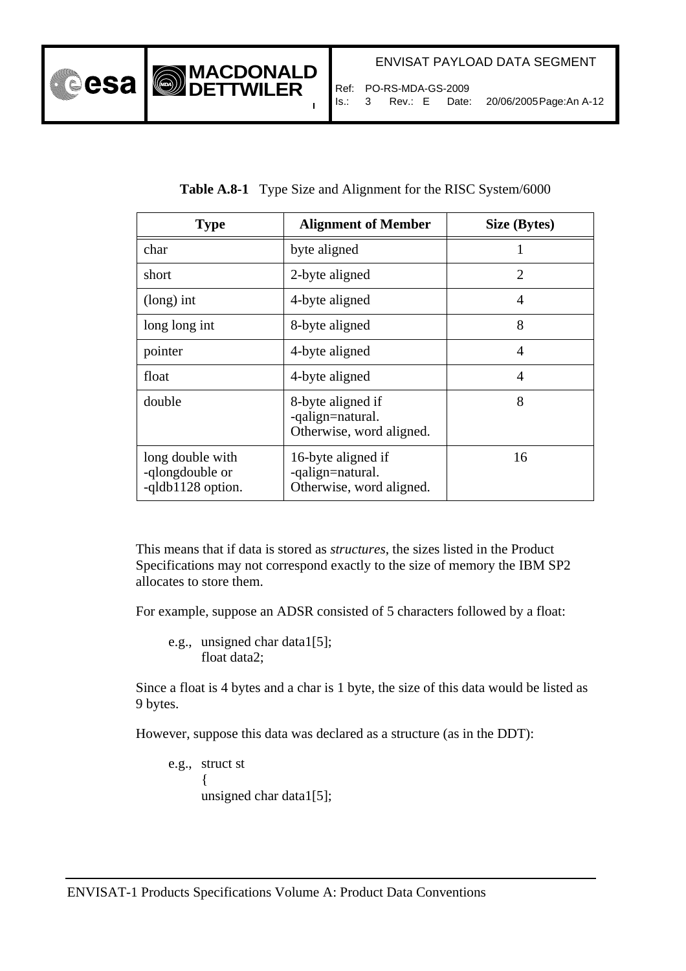

| <b>Type</b>                                              | <b>Alignment of Member</b>                                         | Size (Bytes)                |
|----------------------------------------------------------|--------------------------------------------------------------------|-----------------------------|
| char                                                     | byte aligned                                                       |                             |
| short                                                    | 2-byte aligned                                                     | $\mathcal{D}_{\mathcal{L}}$ |
| (long) int                                               | 4-byte aligned                                                     | 4                           |
| long long int                                            | 8-byte aligned                                                     | 8                           |
| pointer                                                  | 4-byte aligned                                                     | 4                           |
| float                                                    | 4-byte aligned                                                     | 4                           |
| double                                                   | 8-byte aligned if<br>-qalign=natural.<br>Otherwise, word aligned.  | 8                           |
| long double with<br>-qlongdouble or<br>-qldb1128 option. | 16-byte aligned if<br>-qalign=natural.<br>Otherwise, word aligned. | 16                          |

| Table A.8-1 Type Size and Alignment for the RISC System/6000 |
|--------------------------------------------------------------|
|                                                              |

This means that if data is stored as *structures*, the sizes listed in the Product Specifications may not correspond exactly to the size of memory the IBM SP2 allocates to store them.

For example, suppose an ADSR consisted of 5 characters followed by a float:

e.g., unsigned char data1[5]; float data2;

**MACDONALD DETTWILER**

Since a float is 4 bytes and a char is 1 byte, the size of this data would be listed as 9 bytes.

However, suppose this data was declared as a structure (as in the DDT):

e.g., struct st { unsigned char data1[5];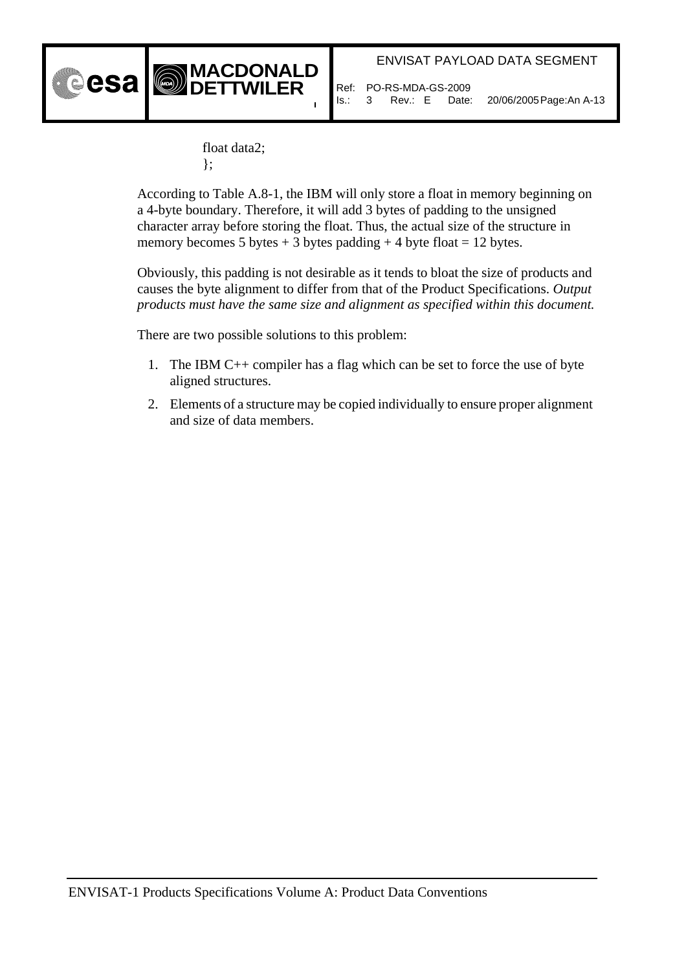



```
float data2;
};
```
According to Table A.8-1, the IBM will only store a float in memory beginning on a 4-byte boundary. Therefore, it will add 3 bytes of padding to the unsigned character array before storing the float. Thus, the actual size of the structure in memory becomes 5 bytes + 3 bytes padding + 4 byte float = 12 bytes.

Obviously, this padding is not desirable as it tends to bloat the size of products and causes the byte alignment to differ from that of the Product Specifications. *Output products must have the same size and alignment as specified within this document.*

There are two possible solutions to this problem:

- 1. The IBM C++ compiler has a flag which can be set to force the use of byte aligned structures.
- 2. Elements of a structure may be copied individually to ensure proper alignment and size of data members.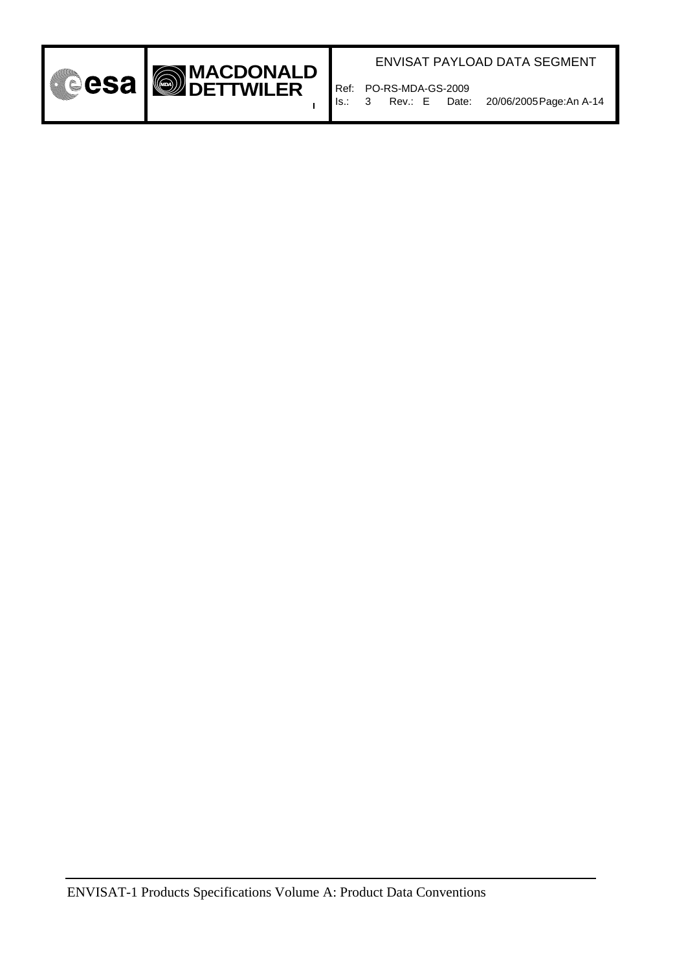

 $\mathbf{I}$ 

#### ENVISAT PAYLOAD DATA SEGMENT

Ref: PO-RS-MDA-GS-2009 Is.: 3 Rev.: E Date: 20/06/2005Page:An A-14